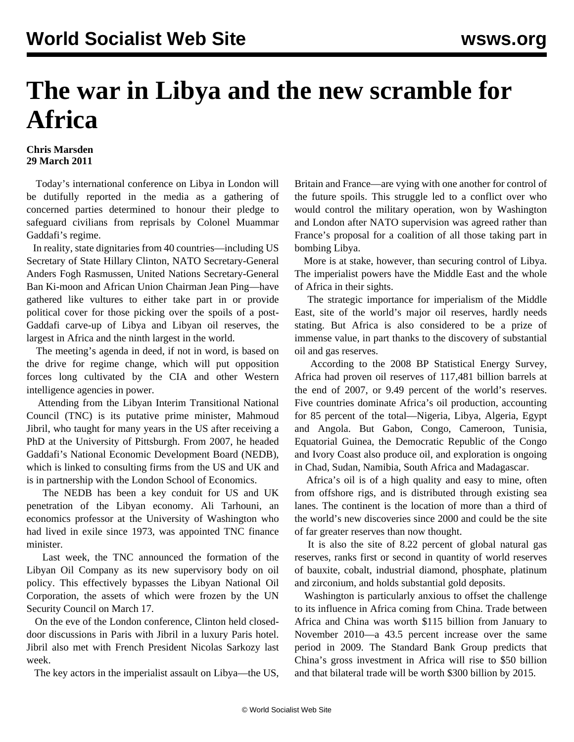## **The war in Libya and the new scramble for Africa**

## **Chris Marsden 29 March 2011**

 Today's international conference on Libya in London will be dutifully reported in the media as a gathering of concerned parties determined to honour their pledge to safeguard civilians from reprisals by Colonel Muammar Gaddafi's regime.

 In reality, state dignitaries from 40 countries—including US Secretary of State Hillary Clinton, NATO Secretary-General Anders Fogh Rasmussen, United Nations Secretary-General Ban Ki-moon and African Union Chairman Jean Ping—have gathered like vultures to either take part in or provide political cover for those picking over the spoils of a post-Gaddafi carve-up of Libya and Libyan oil reserves, the largest in Africa and the ninth largest in the world.

 The meeting's agenda in deed, if not in word, is based on the drive for regime change, which will put opposition forces long cultivated by the CIA and other Western intelligence agencies in power.

 Attending from the Libyan Interim Transitional National Council (TNC) is its putative prime minister, Mahmoud Jibril, who taught for many years in the US after receiving a PhD at the University of Pittsburgh. From 2007, he headed Gaddafi's National Economic Development Board (NEDB), which is linked to consulting firms from the US and UK and is in partnership with the London School of Economics.

 The NEDB has been a key conduit for US and UK penetration of the Libyan economy. Ali Tarhouni, an economics professor at the University of Washington who had lived in exile since 1973, was appointed TNC finance minister.

 Last week, the TNC announced the formation of the Libyan Oil Company as its new supervisory body on oil policy. This effectively bypasses the Libyan National Oil Corporation, the assets of which were frozen by the UN Security Council on March 17.

 On the eve of the London conference, Clinton held closeddoor discussions in Paris with Jibril in a luxury Paris hotel. Jibril also met with French President Nicolas Sarkozy last week.

The key actors in the imperialist assault on Libya—the US,

Britain and France—are vying with one another for control of the future spoils. This struggle led to a conflict over who would control the military operation, won by Washington and London after NATO supervision was agreed rather than France's proposal for a coalition of all those taking part in bombing Libya.

 More is at stake, however, than securing control of Libya. The imperialist powers have the Middle East and the whole of Africa in their sights.

 The strategic importance for imperialism of the Middle East, site of the world's major oil reserves, hardly needs stating. But Africa is also considered to be a prize of immense value, in part thanks to the discovery of substantial oil and gas reserves.

 According to the 2008 BP Statistical Energy Survey, Africa had proven oil reserves of 117,481 billion barrels at the end of 2007, or 9.49 percent of the world's reserves. Five countries dominate Africa's oil production, accounting for 85 percent of the total—Nigeria, Libya, Algeria, Egypt and Angola. But Gabon, Congo, Cameroon, Tunisia, Equatorial Guinea, the Democratic Republic of the Congo and Ivory Coast also produce oil, and exploration is ongoing in Chad, Sudan, Namibia, South Africa and Madagascar.

 Africa's oil is of a high quality and easy to mine, often from offshore rigs, and is distributed through existing sea lanes. The continent is the location of more than a third of the world's new discoveries since 2000 and could be the site of far greater reserves than now thought.

 It is also the site of 8.22 percent of global natural gas reserves, ranks first or second in quantity of world reserves of bauxite, cobalt, industrial diamond, phosphate, platinum and zirconium, and holds substantial gold deposits.

 Washington is particularly anxious to offset the challenge to its influence in Africa coming from China. Trade between Africa and China was worth \$115 billion from January to November 2010—a 43.5 percent increase over the same period in 2009. The Standard Bank Group predicts that China's gross investment in Africa will rise to \$50 billion and that bilateral trade will be worth \$300 billion by 2015.